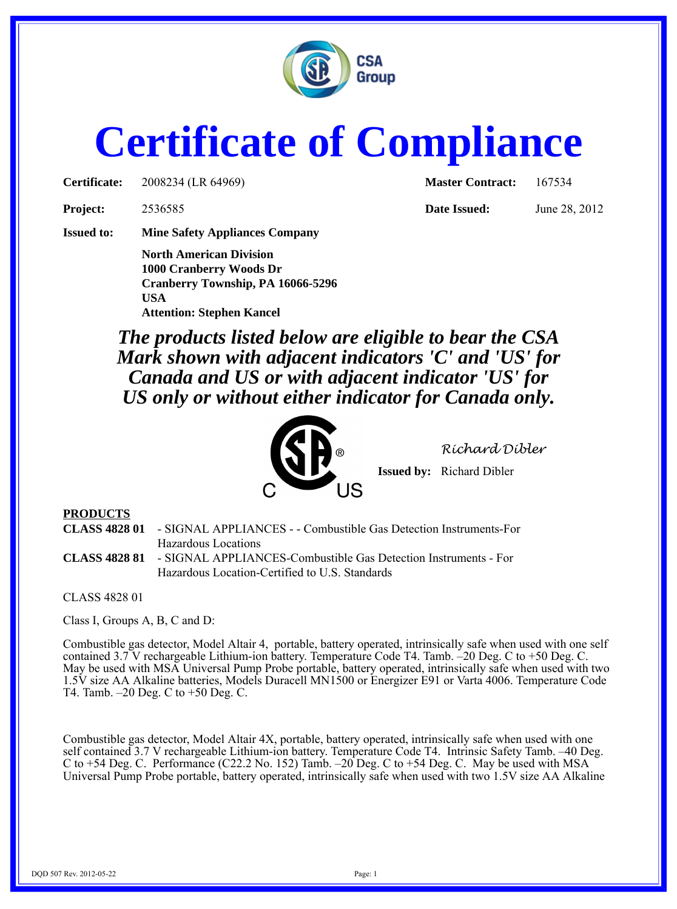

## **Certificate of Compliance**

**Certificate:** 2008234 (LR 64969) **Master Contract:** 167534

**Project:** 2536585 **Date Issued:** June 28, 2012

**Issued to: Mine Safety Appliances Company**

**North American Division 1000 Cranberry Woods Dr Cranberry Township, PA 16066-5296 USA Attention: Stephen Kancel**

*The products listed below are eligible to bear the CSA Mark shown with adjacent indicators 'C' and 'US' for Canada and US or with adjacent indicator 'US' for US only or without either indicator for Canada only.*



*Richard Dibler*

**Issued by:** Richard Dibler

## **PRODUCTS**

**CLASS 4828 01** - SIGNAL APPLIANCES - - Combustible Gas Detection Instruments-For Hazardous Locations **CLASS 4828 81** - SIGNAL APPLIANCES-Combustible Gas Detection Instruments - For Hazardous Location-Certified to U.S. Standards

CLASS 4828 01

Class I, Groups A, B, C and D:

Combustible gas detector, Model Altair 4, portable, battery operated, intrinsically safe when used with one self contained 3.7 V rechargeable Lithium-ion battery. Temperature Code T4. Tamb. –20 Deg. C to +50 Deg. C. May be used with MSA Universal Pump Probe portable, battery operated, intrinsically safe when used with two 1.5V size AA Alkaline batteries, Models Duracell MN1500 or Energizer E91 or Varta 4006. Temperature Code T4. Tamb. –20 Deg. C to +50 Deg. C.

Combustible gas detector, Model Altair 4X, portable, battery operated, intrinsically safe when used with one self contained 3.7 V rechargeable Lithium-ion battery. Temperature Code T4. Intrinsic Safety Tamb. –40 Deg. C to +54 Deg. C. Performance (C22.2 No. 152) Tamb. –20 Deg. C to +54 Deg. C. May be used with MSA Universal Pump Probe portable, battery operated, intrinsically safe when used with two 1.5V size AA Alkaline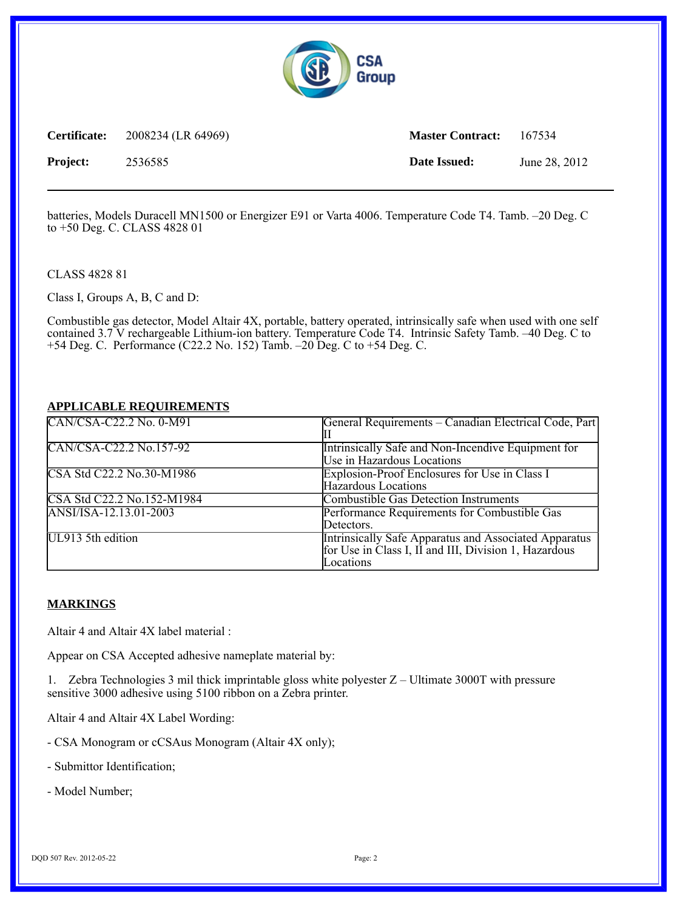

**Certificate:** 2008234 (LR 64969) **Master Contract:** 167534 **Project:** 2536585 **Date Issued:** June 28, 2012

batteries, Models Duracell MN1500 or Energizer E91 or Varta 4006. Temperature Code T4. Tamb. –20 Deg. C to +50 Deg. C. CLASS 4828 01

CLASS 4828 81

Class I, Groups A, B, C and D:

Combustible gas detector, Model Altair 4X, portable, battery operated, intrinsically safe when used with one self contained 3.7 V rechargeable Lithium-ion battery. Temperature Code T4. Intrinsic Safety Tamb. –40 Deg. C to +54 Deg. C. Performance (C22.2 No. 152) Tamb. –20 Deg. C to +54 Deg. C.

## **APPLICABLE REQUIREMENTS**

| CAN/CSA-C22.2 No. 0-M91    | General Requirements – Canadian Electrical Code, Part                                                                       |
|----------------------------|-----------------------------------------------------------------------------------------------------------------------------|
| CAN/CSA-C22.2 No.157-92    | Intrinsically Safe and Non-Incendive Equipment for<br>Use in Hazardous Locations                                            |
| CSA Std C22.2 No.30-M1986  | Explosion-Proof Enclosures for Use in Class I<br>Hazardous Locations                                                        |
| CSA Std C22.2 No.152-M1984 | <b>Combustible Gas Detection Instruments</b>                                                                                |
| ANSI/ISA-12.13.01-2003     | Performance Requirements for Combustible Gas<br>Detectors.                                                                  |
| UL913 5th edition          | Intrinsically Safe Apparatus and Associated Apparatus<br>for Use in Class I, II and III, Division 1, Hazardous<br>Locations |

## **MARKINGS**

Altair 4 and Altair 4X label material :

Appear on CSA Accepted adhesive nameplate material by:

1. Zebra Technologies 3 mil thick imprintable gloss white polyester Z – Ultimate 3000T with pressure sensitive 3000 adhesive using 5100 ribbon on a Zebra printer.

Altair 4 and Altair 4X Label Wording:

- CSA Monogram or cCSAus Monogram (Altair 4X only);
- Submittor Identification;
- Model Number;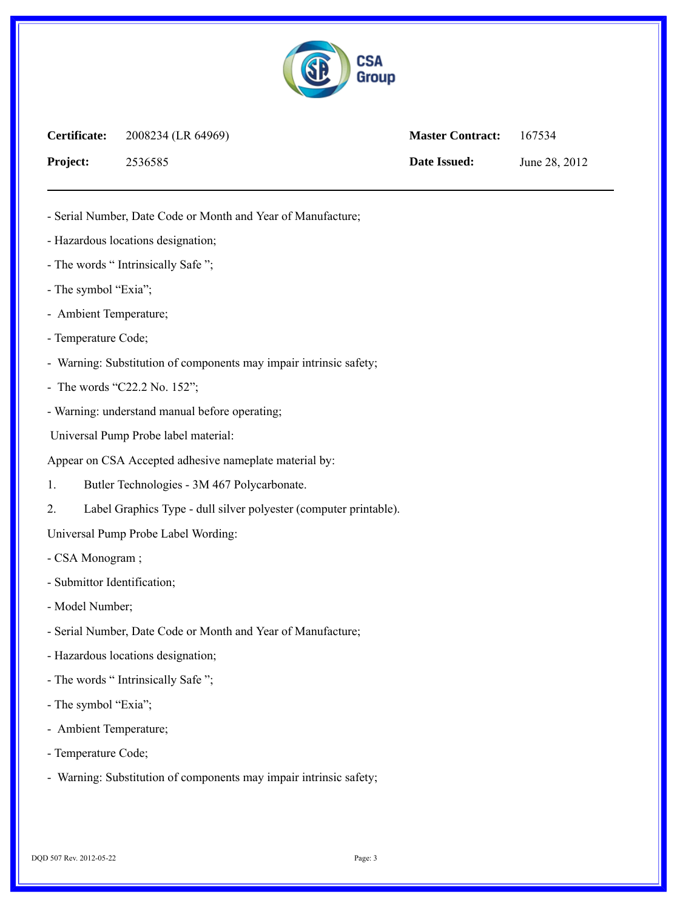

| Certificate:    | 2008234 (LR 64969) | <b>Master Contract:</b> | 167534        |
|-----------------|--------------------|-------------------------|---------------|
| <b>Project:</b> | 2536585            | Date Issued:            | June 28, 2012 |

- Serial Number, Date Code or Month and Year of Manufacture;

- Hazardous locations designation;
- The words " Intrinsically Safe ";
- The symbol "Exia";
- Ambient Temperature;
- Temperature Code;
- Warning: Substitution of components may impair intrinsic safety;
- The words "C22.2 No. 152";
- Warning: understand manual before operating;

Universal Pump Probe label material:

Appear on CSA Accepted adhesive nameplate material by:

- 1. Butler Technologies 3M 467 Polycarbonate.
- 2. Label Graphics Type dull silver polyester (computer printable).

Universal Pump Probe Label Wording:

- CSA Monogram ;
- Submittor Identification;
- Model Number;
- Serial Number, Date Code or Month and Year of Manufacture;
- Hazardous locations designation;
- The words " Intrinsically Safe ";
- The symbol "Exia";
- Ambient Temperature;
- Temperature Code;
- Warning: Substitution of components may impair intrinsic safety;